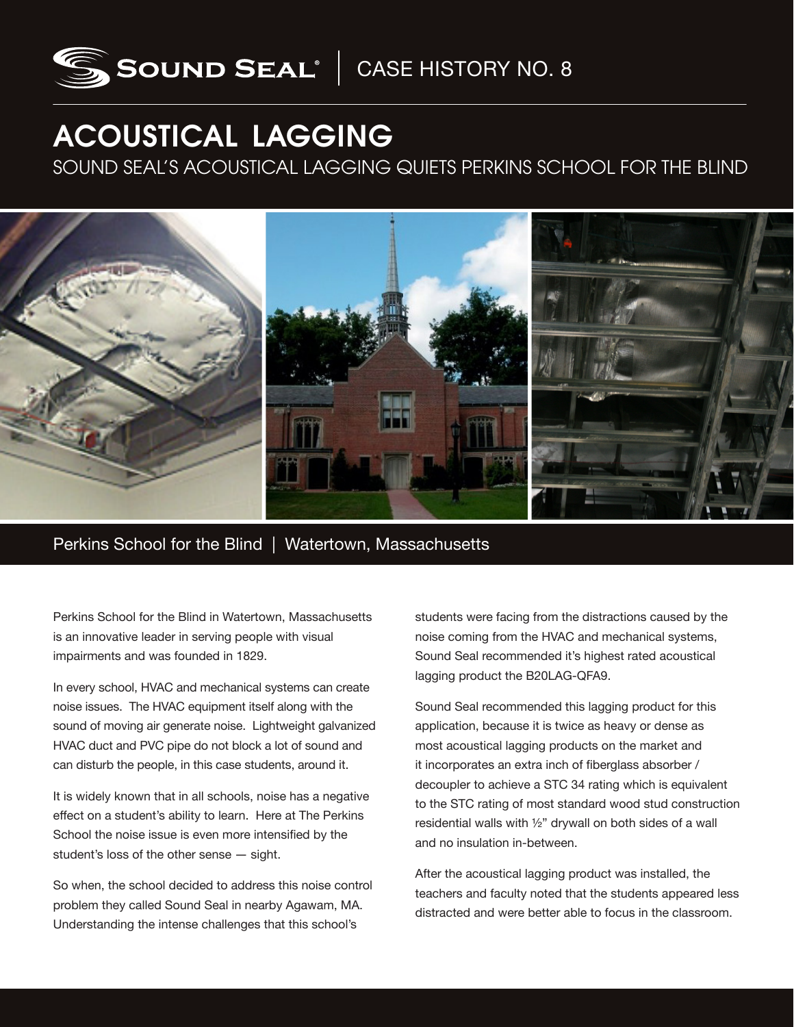

## ACOUSTICAL LAGGING

SOUND SEAL'S ACOUSTICAL LAGGING QUIETS PERKINS SCHOOL FOR THE BLIND



Perkins School for the Blind | Watertown, Massachusetts

Perkins School for the Blind in Watertown, Massachusetts is an innovative leader in serving people with visual impairments and was founded in 1829.

In every school, HVAC and mechanical systems can create noise issues. The HVAC equipment itself along with the sound of moving air generate noise. Lightweight galvanized HVAC duct and PVC pipe do not block a lot of sound and can disturb the people, in this case students, around it.

It is widely known that in all schools, noise has a negative effect on a student's ability to learn. Here at The Perkins School the noise issue is even more intensified by the student's loss of the other sense ― sight.

So when, the school decided to address this noise control problem they called Sound Seal in nearby Agawam, MA. Understanding the intense challenges that this school's

students were facing from the distractions caused by the noise coming from the HVAC and mechanical systems, Sound Seal recommended it's highest rated acoustical lagging product the B20LAG-QFA9.

Sound Seal recommended this lagging product for this application, because it is twice as heavy or dense as most acoustical lagging products on the market and it incorporates an extra inch of fiberglass absorber / decoupler to achieve a STC 34 rating which is equivalent to the STC rating of most standard wood stud construction residential walls with ½" drywall on both sides of a wall and no insulation in-between.

After the acoustical lagging product was installed, the teachers and faculty noted that the students appeared less distracted and were better able to focus in the classroom.